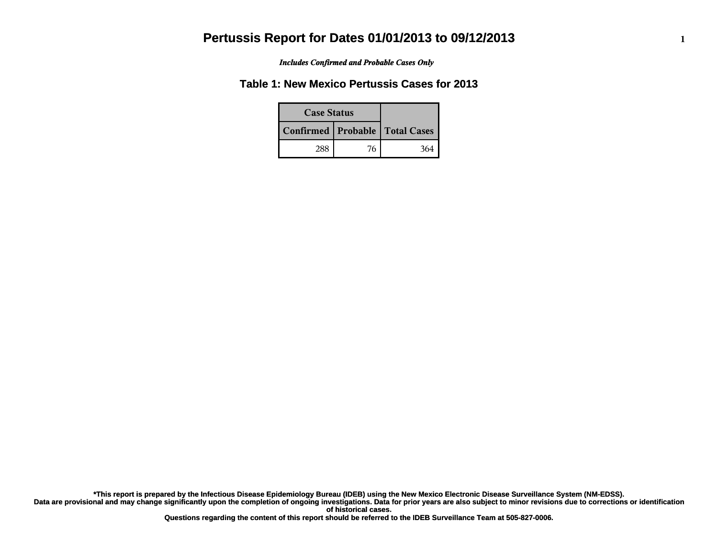*Includes Confirmed and Probable Cases Only*

### **Table 1: New Mexico Pertussis Cases for 2013**

| <b>Case Status</b> |    |                                    |  |
|--------------------|----|------------------------------------|--|
|                    |    | Confirmed   Probable   Total Cases |  |
| 288                | 76 | 364                                |  |

**Data are provisional and may change significantly upon the completion of ongoing investigations. Data for prior years are also subject to minor revisions due to corrections or identification of historical cases. \*This report is prepared by the Infectious Disease Epidemiology Bureau (IDEB) using the New Mexico Electronic Disease Surveillance System (NM-EDSS).**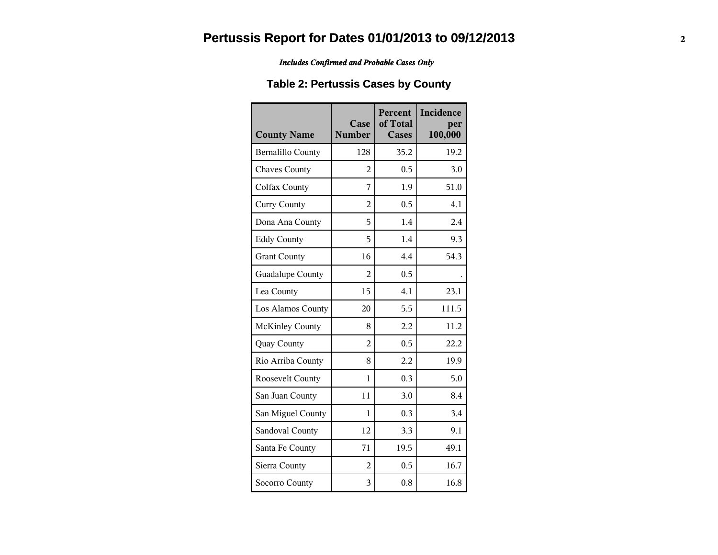*Includes Confirmed and Probable Cases Only*

### **Table 2: Pertussis Cases by County**

| <b>County Name</b>       | Case<br><b>Number</b> | Percent<br>of Total<br><b>Cases</b> | Incidence<br>per<br>100,000 |
|--------------------------|-----------------------|-------------------------------------|-----------------------------|
| <b>Bernalillo County</b> | 128                   | 35.2                                | 19.2                        |
| <b>Chaves County</b>     | 2                     | 0.5                                 | 3.0                         |
| Colfax County            | 7                     | 1.9                                 | 51.0                        |
| <b>Curry County</b>      | $\overline{2}$        | 0.5                                 | 4.1                         |
| Dona Ana County          | 5                     | 1.4                                 | 2.4                         |
| <b>Eddy County</b>       | 5                     | 1.4                                 | 9.3                         |
| <b>Grant County</b>      | 16                    | 4.4                                 | 54.3                        |
| Guadalupe County         | $\mathfrak{D}$        | 0.5                                 |                             |
| Lea County               | 15                    | 4.1                                 | 23.1                        |
| Los Alamos County        | 20                    | 5.5                                 | 111.5                       |
| <b>McKinley County</b>   | 8                     | 2.2                                 | 11.2                        |
| Quay County              | $\overline{2}$        | 0.5                                 | 22.2                        |
| Rio Arriba County        | 8                     | 2.2                                 | 19.9                        |
| Roosevelt County         | 1                     | 0.3                                 | 5.0                         |
| San Juan County          | 11                    | 3.0                                 | 8.4                         |
| San Miguel County        | 1                     | 0.3                                 | 3.4                         |
| Sandoval County          | 12                    | 3.3                                 | 9.1                         |
| Santa Fe County          | 71                    | 19.5                                | 49.1                        |
| Sierra County            | $\overline{2}$        | 0.5                                 | 16.7                        |
| Socorro County           | 3                     | 0.8                                 | 16.8                        |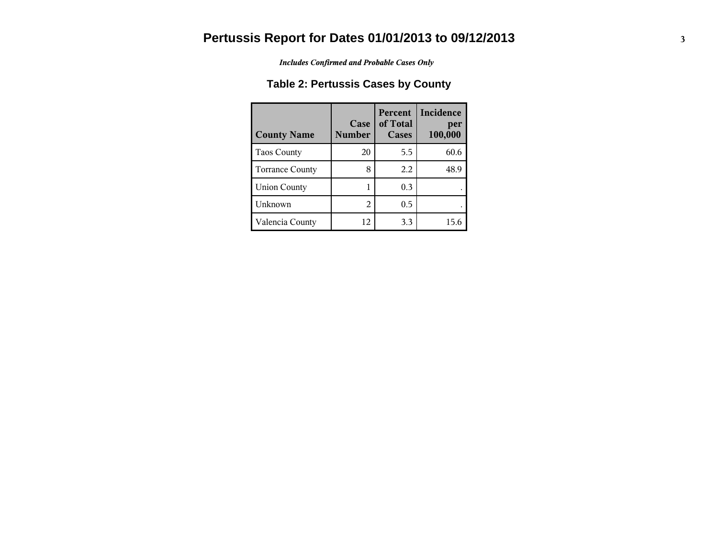*Includes Confirmed and Probable Cases Only*

### **Table 2: Pertussis Cases by County**

| <b>County Name</b>     | Case<br><b>Number</b>       | <b>Percent</b><br>of Total<br>Cases | <b>Incidence</b><br>per<br>100,000 |
|------------------------|-----------------------------|-------------------------------------|------------------------------------|
| Taos County            | 20                          | 5.5                                 | 60.6                               |
| <b>Torrance County</b> | 8                           | 2.2                                 | 48.9                               |
| <b>Union County</b>    |                             | 0.3                                 |                                    |
| Unknown                | $\mathcal{D}_{\mathcal{L}}$ | 0.5                                 |                                    |
| Valencia County        | 12                          | 3.3                                 | 15.6                               |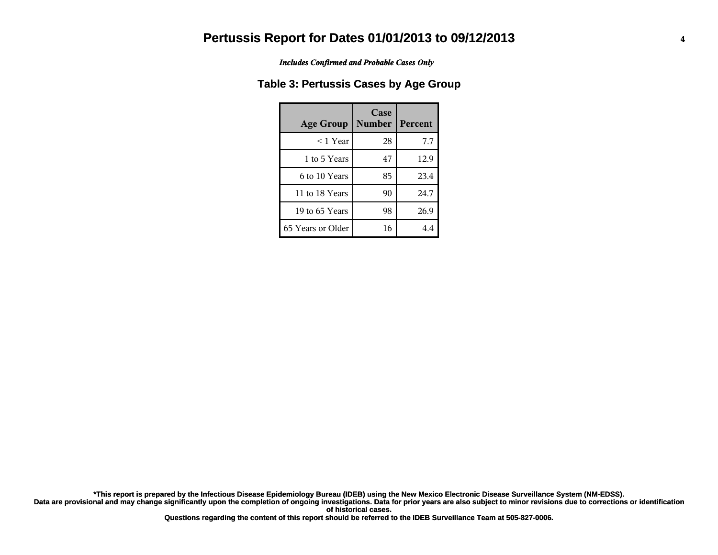*Includes Confirmed and Probable Cases Only*

#### **Table 3: Pertussis Cases by Age Group**

| <b>Age Group</b>  | Case<br><b>Number</b> | Percent |
|-------------------|-----------------------|---------|
| $<$ 1 Year        | 28                    | 7.7     |
| 1 to 5 Years      | 47                    | 12.9    |
| 6 to 10 Years     | 85                    | 23.4    |
| 11 to 18 Years    | 90                    | 24.7    |
| 19 to 65 Years    | 98                    | 26.9    |
| 65 Years or Older | 16                    | 4.4     |

**Data are provisional and may change significantly upon the completion of ongoing investigations. Data for prior years are also subject to minor revisions due to corrections or identification of historical cases. \*This report is prepared by the Infectious Disease Epidemiology Bureau (IDEB) using the New Mexico Electronic Disease Surveillance System (NM-EDSS).**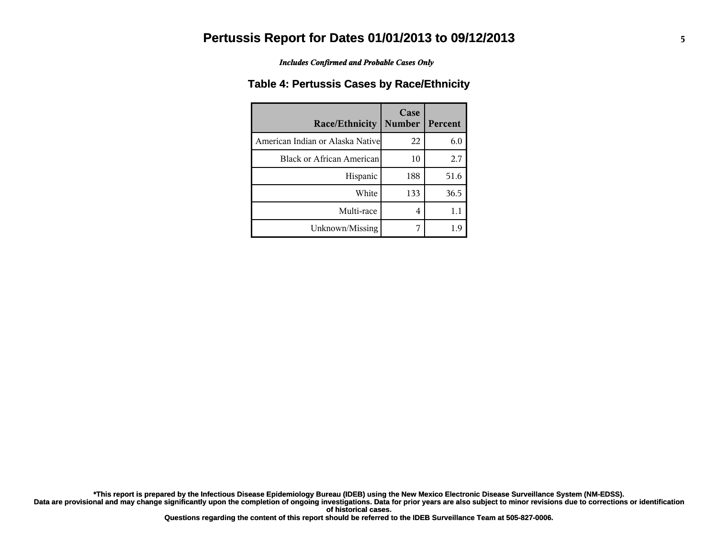*Includes Confirmed and Probable Cases Only*

#### **Table 4: Pertussis Cases by Race/Ethnicity**

| <b>Race/Ethnicity</b>             | Case<br><b>Number</b> | Percent |
|-----------------------------------|-----------------------|---------|
| American Indian or Alaska Nativel | 22                    | 6.0     |
| Black or African American         | 10                    | 2.7     |
| Hispanic                          | 188                   | 51.6    |
| White                             | 133                   | 36.5    |
| Multi-race                        | 4                     | 1.1     |
| Unknown/Missing                   |                       |         |

**Data are provisional and may change significantly upon the completion of ongoing investigations. Data for prior years are also subject to minor revisions due to corrections or identification of historical cases. \*This report is prepared by the Infectious Disease Epidemiology Bureau (IDEB) using the New Mexico Electronic Disease Surveillance System (NM-EDSS).**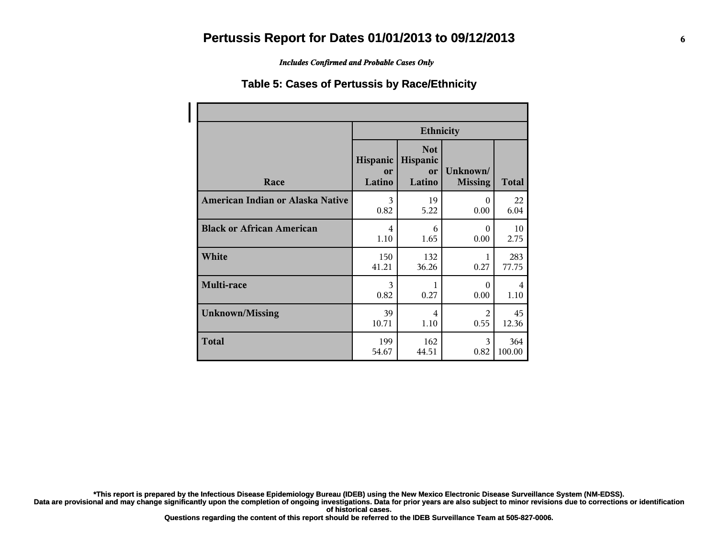*Includes Confirmed and Probable Cases Only*

#### **Table 5: Cases of Pertussis by Race/Ethnicity**

|                                  | <b>Ethnicity</b>         |                                        |                            |              |
|----------------------------------|--------------------------|----------------------------------------|----------------------------|--------------|
| Race                             | Hispanic<br>or<br>Latino | <b>Not</b><br>Hispanic<br>or<br>Latino | Unknown/<br><b>Missing</b> | <b>Total</b> |
| American Indian or Alaska Native | 3                        | 19                                     | $\Omega$                   | 22           |
|                                  | 0.82                     | 5.22                                   | 0.00                       | 6.04         |
| <b>Black or African American</b> | 4                        | 6                                      | $\Omega$                   | 10           |
|                                  | 1.10                     | 1.65                                   | 0.00                       | 2.75         |
| White                            | 150                      | 132                                    | 1                          | 283          |
|                                  | 41.21                    | 36.26                                  | 0.27                       | 77.75        |
| Multi-race                       | 3                        | 1                                      | $\Omega$                   | 4            |
|                                  | 0.82                     | 0.27                                   | 0.00                       | 1.10         |
| <b>Unknown/Missing</b>           | 39                       | 4                                      | $\mathfrak{D}$             | 45           |
|                                  | 10.71                    | 1.10                                   | 0.55                       | 12.36        |
| <b>Total</b>                     | 199                      | 162                                    | 3                          | 364          |
|                                  | 54.67                    | 44.51                                  | 0.82                       | 100.00       |

**\*This report is prepared by the Infectious Disease Epidemiology Bureau (IDEB) using the New Mexico Electronic Disease Surveillance System (NM-EDSS).**

**Data are provisional and may change significantly upon the completion of ongoing investigations. Data for prior years are also subject to minor revisions due to corrections or identification of historical cases.**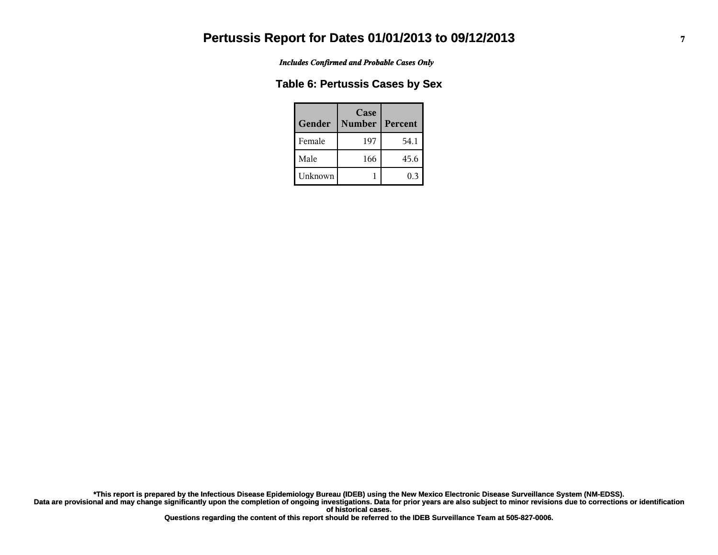*Includes Confirmed and Probable Cases Only*

#### **Table 6: Pertussis Cases by Sex**

| Gender  | Case<br><b>Number</b> | <b>Percent</b> |
|---------|-----------------------|----------------|
| Female  | 197                   | 54.1           |
| Male    | 166                   | 45.6           |
| Unknown |                       | 0.3            |

**Data are provisional and may change significantly upon the completion of ongoing investigations. Data for prior years are also subject to minor revisions due to corrections or identification of historical cases. \*This report is prepared by the Infectious Disease Epidemiology Bureau (IDEB) using the New Mexico Electronic Disease Surveillance System (NM-EDSS).**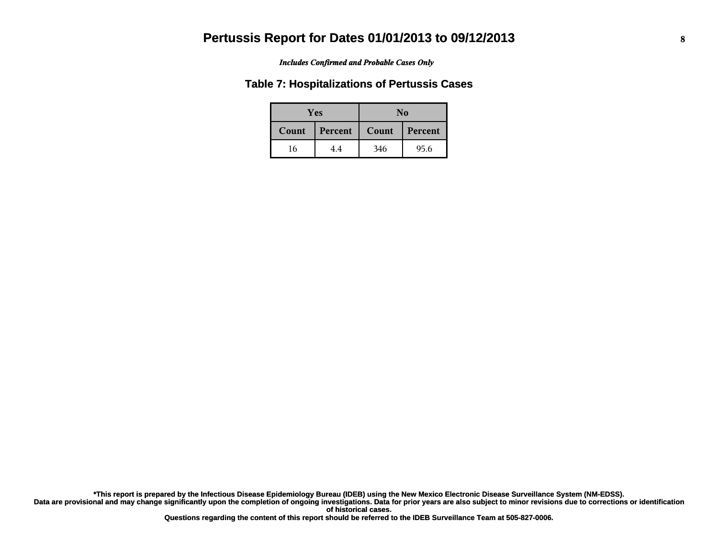#### *Includes Confirmed and Probable Cases Only*

#### **Table 7: Hospitalizations of Pertussis Cases**

| <b>Yes</b> |         | No    |         |
|------------|---------|-------|---------|
| Count      | Percent | Count | Percent |
| 16         | 4.4     | 346   | 95.6    |

**Data are provisional and may change significantly upon the completion of ongoing investigations. Data for prior years are also subject to minor revisions due to corrections or identification of historical cases. \*This report is prepared by the Infectious Disease Epidemiology Bureau (IDEB) using the New Mexico Electronic Disease Surveillance System (NM-EDSS).**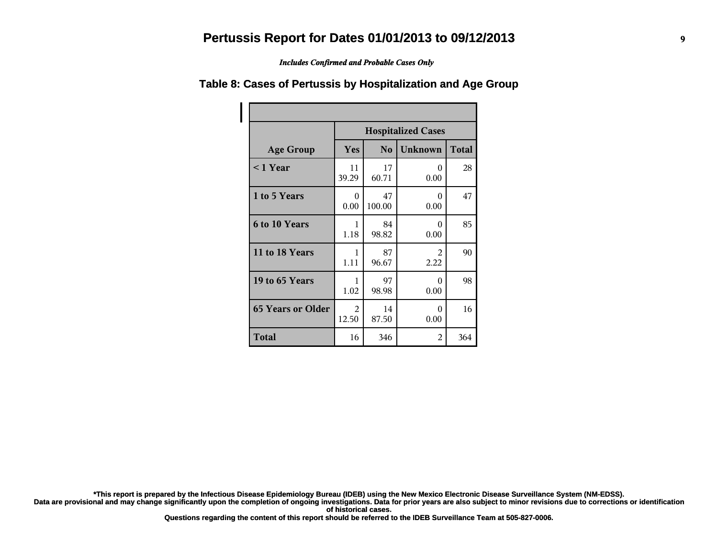*Includes Confirmed and Probable Cases Only*

|                          | <b>Hospitalized Cases</b> |                |                  |              |
|--------------------------|---------------------------|----------------|------------------|--------------|
| <b>Age Group</b>         | Yes                       | N <sub>o</sub> | <b>Unknown</b>   | <b>Total</b> |
| $< 1$ Year               | 11<br>39.29               | 17<br>60.71    | 0<br>0.00        | 28           |
| 1 to 5 Years             | $\theta$<br>0.00          | 47<br>100.00   | 0<br>0.00        | 47           |
| 6 to 10 Years            | 1<br>1.18                 | 84<br>98.82    | 0<br>0.00        | 85           |
| 11 to 18 Years           | 1<br>1.11                 | 87<br>96.67    | 2<br>2.22        | 90           |
| 19 to 65 Years           | 1<br>1.02                 | 97<br>98.98    | $\Omega$<br>0.00 | 98           |
| <b>65 Years or Older</b> | 2<br>12.50                | 14<br>87.50    | 0<br>0.00        | 16           |
| <b>Total</b>             | 16                        | 346            | 2                | 364          |

#### **Table 8: Cases of Pertussis by Hospitalization and Age Group**

**\*This report is prepared by the Infectious Disease Epidemiology Bureau (IDEB) using the New Mexico Electronic Disease Surveillance System (NM-EDSS).**

**Data are provisional and may change significantly upon the completion of ongoing investigations. Data for prior years are also subject to minor revisions due to corrections or identification of historical cases.**